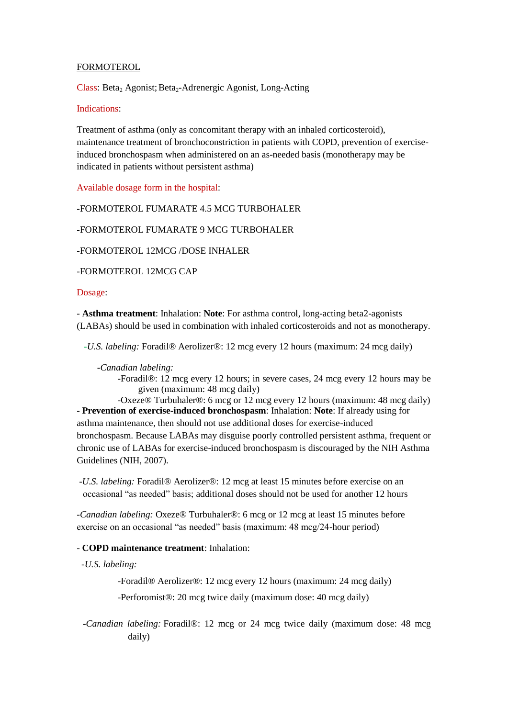## FORMOTEROL

Class: Beta<sub>2</sub> Agonist; Beta<sub>2</sub>-Adrenergic Agonist, Long-Acting

#### Indications:

Treatment of asthma (only as concomitant therapy with an inhaled corticosteroid), maintenance treatment of bronchoconstriction in patients with COPD, prevention of exerciseinduced bronchospasm when administered on an as-needed basis (monotherapy may be indicated in patients without persistent asthma)

Available dosage form in the hospital:

-FORMOTEROL FUMARATE 4.5 MCG TURBOHALER

-FORMOTEROL FUMARATE 9 MCG TURBOHALER

-FORMOTEROL 12MCG /DOSE INHALER

-FORMOTEROL 12MCG CAP

Dosage:

- **Asthma treatment**: Inhalation: **Note**: For asthma control, long-acting beta2-agonists (LABAs) should be used in combination with inhaled corticosteroids and not as monotherapy.

 *-U.S. labeling:* Foradil® Aerolizer®: 12 mcg every 12 hours (maximum: 24 mcg daily)

### *-Canadian labeling:*

-Foradil®: 12 mcg every 12 hours; in severe cases, 24 mcg every 12 hours may be given (maximum: 48 mcg daily)

-Oxeze® Turbuhaler®: 6 mcg or 12 mcg every 12 hours (maximum: 48 mcg daily) - **Prevention of exercise-induced bronchospasm**: Inhalation: **Note**: If already using for asthma maintenance, then should not use additional doses for exercise-induced bronchospasm. Because LABAs may disguise poorly controlled persistent asthma, frequent or chronic use of LABAs for exercise-induced bronchospasm is discouraged by the NIH Asthma Guidelines (NIH, 2007).

-*U.S. labeling:* Foradil® Aerolizer®: 12 mcg at least 15 minutes before exercise on an occasional "as needed" basis; additional doses should not be used for another 12 hours

*-Canadian labeling:* Oxeze® Turbuhaler®: 6 mcg or 12 mcg at least 15 minutes before exercise on an occasional "as needed" basis (maximum: 48 mcg/24-hour period)

### - **COPD maintenance treatment**: Inhalation:

 *-U.S. labeling:*

-Foradil® Aerolizer®: 12 mcg every 12 hours (maximum: 24 mcg daily)

-Perforomist®: 20 mcg twice daily (maximum dose: 40 mcg daily)

*-Canadian labeling:* Foradil®: 12 mcg or 24 mcg twice daily (maximum dose: 48 mcg daily)